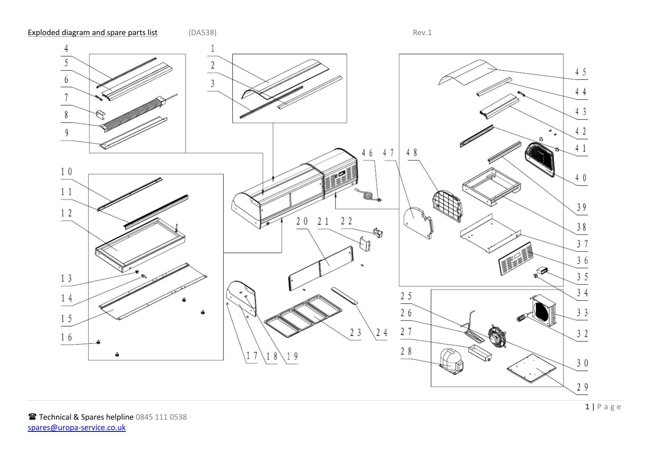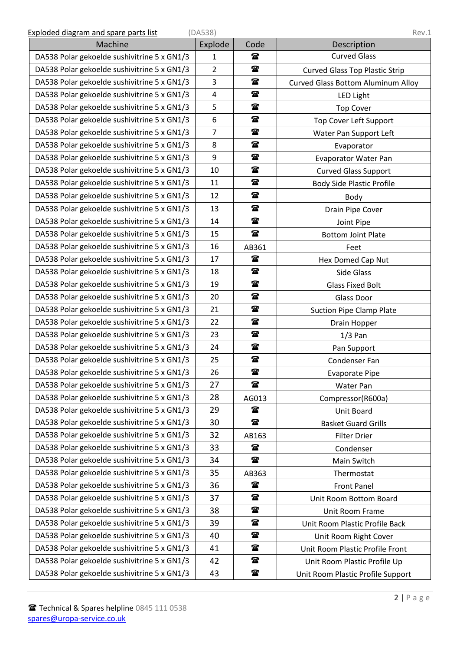| Exploded diagram and spare parts list | (DA538) | Rev.1 |
|---------------------------------------|---------|-------|
|---------------------------------------|---------|-------|

| Machine                                     | Explode        | Code         | Description                               |
|---------------------------------------------|----------------|--------------|-------------------------------------------|
| DA538 Polar gekoelde sushivitrine 5 x GN1/3 | 1              | $\mathbf{r}$ | <b>Curved Glass</b>                       |
| DA538 Polar gekoelde sushivitrine 5 x GN1/3 | $\overline{2}$ | $\mathbf{r}$ | <b>Curved Glass Top Plastic Strip</b>     |
| DA538 Polar gekoelde sushivitrine 5 x GN1/3 | 3              | $\mathbf{r}$ | <b>Curved Glass Bottom Aluminum Alloy</b> |
| DA538 Polar gekoelde sushivitrine 5 x GN1/3 | 4              | $\mathbf{r}$ | <b>LED Light</b>                          |
| DA538 Polar gekoelde sushivitrine 5 x GN1/3 | 5              | $\mathbf{r}$ | <b>Top Cover</b>                          |
| DA538 Polar gekoelde sushivitrine 5 x GN1/3 | 6              | $\mathbf{r}$ | Top Cover Left Support                    |
| DA538 Polar gekoelde sushivitrine 5 x GN1/3 | 7              | $\mathbf{r}$ | Water Pan Support Left                    |
| DA538 Polar gekoelde sushivitrine 5 x GN1/3 | 8              | $\mathbf{r}$ | Evaporator                                |
| DA538 Polar gekoelde sushivitrine 5 x GN1/3 | 9              | $\mathbf{r}$ | <b>Evaporator Water Pan</b>               |
| DA538 Polar gekoelde sushivitrine 5 x GN1/3 | 10             | $\mathbf{r}$ | <b>Curved Glass Support</b>               |
| DA538 Polar gekoelde sushivitrine 5 x GN1/3 | 11             | t            | <b>Body Side Plastic Profile</b>          |
| DA538 Polar gekoelde sushivitrine 5 x GN1/3 | 12             | $\mathbf{r}$ | Body                                      |
| DA538 Polar gekoelde sushivitrine 5 x GN1/3 | 13             | $\mathbf{T}$ | Drain Pipe Cover                          |
| DA538 Polar gekoelde sushivitrine 5 x GN1/3 | 14             | $\mathbf{r}$ | Joint Pipe                                |
| DA538 Polar gekoelde sushivitrine 5 x GN1/3 | 15             | $\mathbf{r}$ | <b>Bottom Joint Plate</b>                 |
| DA538 Polar gekoelde sushivitrine 5 x GN1/3 | 16             | AB361        | Feet                                      |
| DA538 Polar gekoelde sushivitrine 5 x GN1/3 | 17             | t            | Hex Domed Cap Nut                         |
| DA538 Polar gekoelde sushivitrine 5 x GN1/3 | 18             | $\mathbf{r}$ | Side Glass                                |
| DA538 Polar gekoelde sushivitrine 5 x GN1/3 | 19             | $\mathbf{r}$ | <b>Glass Fixed Bolt</b>                   |
| DA538 Polar gekoelde sushivitrine 5 x GN1/3 | 20             | $\mathbf{r}$ | Glass Door                                |
| DA538 Polar gekoelde sushivitrine 5 x GN1/3 | 21             | $\mathbf{r}$ | <b>Suction Pipe Clamp Plate</b>           |
| DA538 Polar gekoelde sushivitrine 5 x GN1/3 | 22             | $\mathbf{r}$ | Drain Hopper                              |
| DA538 Polar gekoelde sushivitrine 5 x GN1/3 | 23             | $\mathbf{r}$ | $1/3$ Pan                                 |
| DA538 Polar gekoelde sushivitrine 5 x GN1/3 | 24             | t            | Pan Support                               |
| DA538 Polar gekoelde sushivitrine 5 x GN1/3 | 25             | $\mathbf{r}$ | Condenser Fan                             |
| DA538 Polar gekoelde sushivitrine 5 x GN1/3 | 26             | $\mathbf{a}$ | <b>Evaporate Pipe</b>                     |
| DA538 Polar gekoelde sushivitrine 5 x GN1/3 | 27             | $\mathbf{r}$ | Water Pan                                 |
| DA538 Polar gekoelde sushivitrine 5 x GN1/3 | 28             | AG013        | Compressor(R600a)                         |
| DA538 Polar gekoelde sushivitrine 5 x GN1/3 | 29             | $\mathbf{r}$ | Unit Board                                |
| DA538 Polar gekoelde sushivitrine 5 x GN1/3 | 30             | $\mathbf{r}$ | <b>Basket Guard Grills</b>                |
| DA538 Polar gekoelde sushivitrine 5 x GN1/3 | 32             | AB163        | <b>Filter Drier</b>                       |
| DA538 Polar gekoelde sushivitrine 5 x GN1/3 | 33             | $\mathbf{r}$ | Condenser                                 |
| DA538 Polar gekoelde sushivitrine 5 x GN1/3 | 34             | $\mathbf{r}$ | Main Switch                               |
| DA538 Polar gekoelde sushivitrine 5 x GN1/3 | 35             | AB363        | Thermostat                                |
| DA538 Polar gekoelde sushivitrine 5 x GN1/3 | 36             | $\mathbf{r}$ | <b>Front Panel</b>                        |
| DA538 Polar gekoelde sushivitrine 5 x GN1/3 | 37             | $\mathbf{r}$ | Unit Room Bottom Board                    |
| DA538 Polar gekoelde sushivitrine 5 x GN1/3 | 38             | $\mathbf{r}$ | Unit Room Frame                           |
| DA538 Polar gekoelde sushivitrine 5 x GN1/3 | 39             | $\mathbf{r}$ | Unit Room Plastic Profile Back            |
| DA538 Polar gekoelde sushivitrine 5 x GN1/3 | 40             | $\mathbf{r}$ | Unit Room Right Cover                     |
| DA538 Polar gekoelde sushivitrine 5 x GN1/3 | 41             | ☎            | Unit Room Plastic Profile Front           |
| DA538 Polar gekoelde sushivitrine 5 x GN1/3 | 42             | $\mathbf{r}$ | Unit Room Plastic Profile Up              |
| DA538 Polar gekoelde sushivitrine 5 x GN1/3 | 43             | $\mathbf{r}$ | Unit Room Plastic Profile Support         |